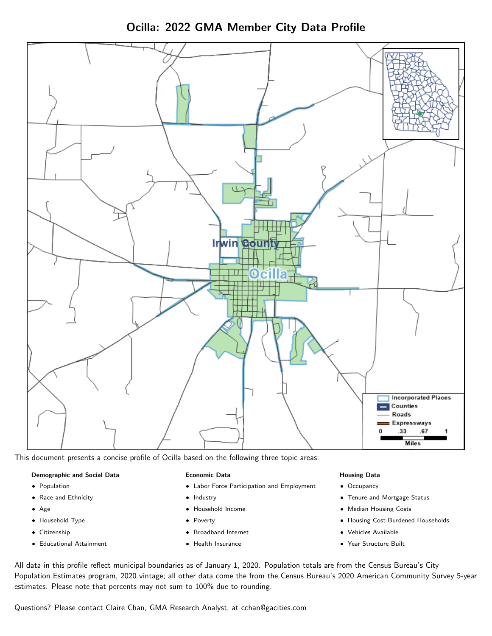



This document presents a concise profile of Ocilla based on the following three topic areas:

### Demographic and Social Data

- **•** Population
- Race and Ethnicity
- Age
- Household Type
- **Citizenship**
- Educational Attainment

### Economic Data

- Labor Force Participation and Employment
- Industry
- Household Income
- Poverty
- Broadband Internet
- Health Insurance

### Housing Data

- Occupancy
- Tenure and Mortgage Status
- Median Housing Costs
- Housing Cost-Burdened Households
- Vehicles Available
- Year Structure Built

All data in this profile reflect municipal boundaries as of January 1, 2020. Population totals are from the Census Bureau's City Population Estimates program, 2020 vintage; all other data come the from the Census Bureau's 2020 American Community Survey 5-year estimates. Please note that percents may not sum to 100% due to rounding.

Questions? Please contact Claire Chan, GMA Research Analyst, at [cchan@gacities.com.](mailto:cchan@gacities.com)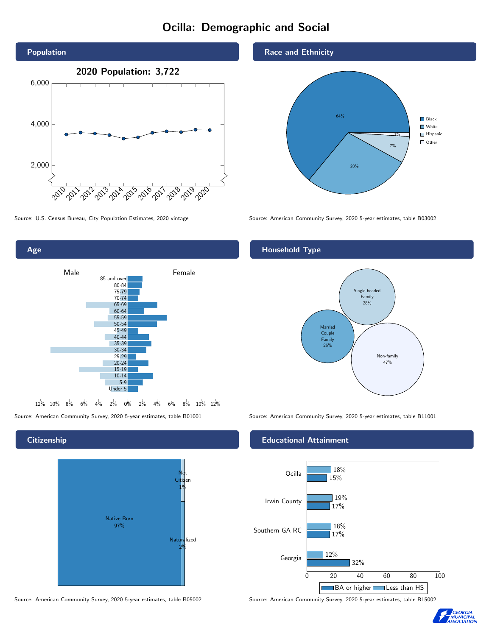# Ocilla: Demographic and Social



Age 0% 2% 4% 6% 8% 10% 12% Male **Female**  $12\%$  10% 8% 6% 4% 85 and over 80-84 75-79 70-74 65-69 60-64 55-59 50-54 45-49 40-44 35-39 30-34 25-29 20-24 15-19 10-14 5-9 Under 5

## **Citizenship**





## Race and Ethnicity



Source: U.S. Census Bureau, City Population Estimates, 2020 vintage Source: American Community Survey, 2020 5-year estimates, table B03002

## Household Type



Source: American Community Survey, 2020 5-year estimates, table B01001 Source: American Community Survey, 2020 5-year estimates, table B11001

## Educational Attainment



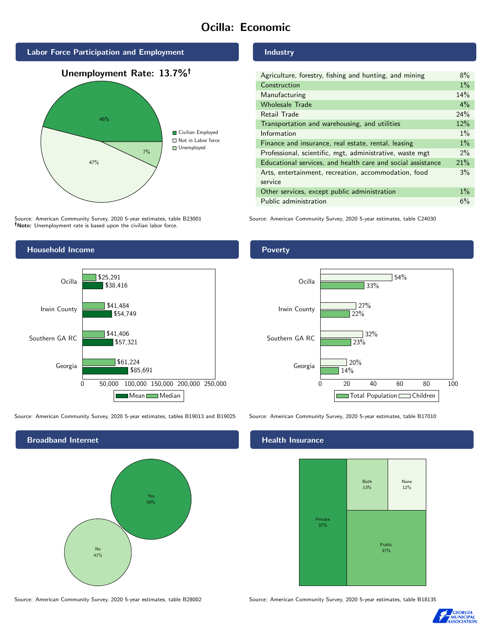# Ocilla: Economic



Unemployment Rate: 13.7%



Source: American Community Survey, 2020 5-year estimates, table B23001 Note: Unemployment rate is based upon the civilian labor force.



| Agriculture, forestry, fishing and hunting, and mining      | 8%    |
|-------------------------------------------------------------|-------|
| Construction                                                | $1\%$ |
| Manufacturing                                               | 14%   |
| <b>Wholesale Trade</b>                                      | $4\%$ |
| Retail Trade                                                | 24%   |
| Transportation and warehousing, and utilities               | 12%   |
| Information                                                 | $1\%$ |
| Finance and insurance, real estate, rental, leasing         | $1\%$ |
| Professional, scientific, mgt, administrative, waste mgt    | $2\%$ |
| Educational services, and health care and social assistance | 21%   |
| Arts, entertainment, recreation, accommodation, food        | 3%    |
| service                                                     |       |
| Other services, except public administration                | $1\%$ |
| Public administration                                       | 6%    |

Source: American Community Survey, 2020 5-year estimates, table C24030



Source: American Community Survey, 2020 5-year estimates, tables B19013 and B19025 Source: American Community Survey, 2020 5-year estimates, table B17010



Source: American Community Survey, 2020 5-year estimates, table B28002 Source: American Community Survey, 2020 5-year estimates, table B18135

Poverty



## **Health Insurance**